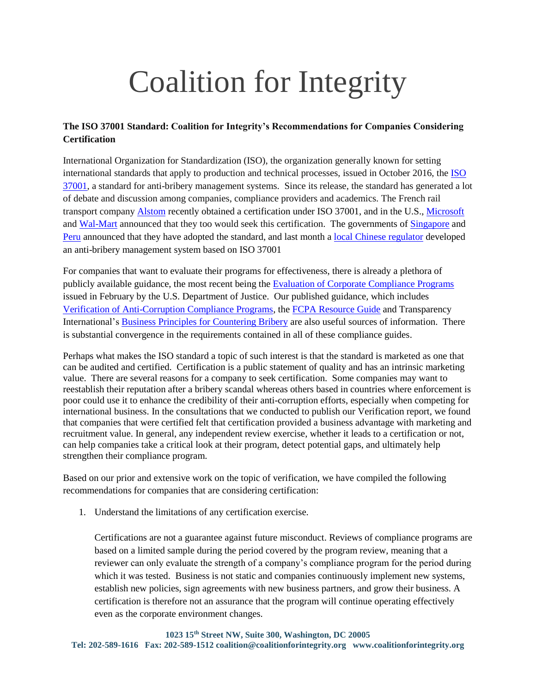## Coalition for Integrity

## **The ISO 37001 Standard: Coalition for Integrity's Recommendations for Companies Considering Certification**

International Organization for Standardization (ISO), the organization generally known for setting international standards that apply to production and technical processes, issued in October 2016, the [ISO](https://www.iso.org/standard/65034.html)  [37001,](https://www.iso.org/standard/65034.html) a standard for anti-bribery management systems. Since its release, the standard has generated a lot of debate and discussion among companies, compliance providers and academics. The French rail transport company [Alstom](http://www.alstom.com/) recently obtained a certification under ISO 37001, and in the U.S., [Microsoft](https://blogs.microsoft.com/on-the-issues/2017/03/07/update-microsofts-approach-compliance/#sm.0001atvc6wkhqeu3wob2p70w7bzgy) and [Wal-Mart](http://www.business-anti-corruption.com/news/microsoft-and-wal-mart-seek-iso-37001-anti-bribery-certification) announced that they too would seek this certification. The governments of [Singapore](http://www.bakermckenzie.com/en/insight/publications/2017/05/singapore-adopts-iso-standard/) and [Peru](http://www.andina.com.pe/Ingles/noticia-peru-to-become-first-latam-country-to-implement-antibribery-system-661017.aspx) announced that they have adopted the standard, and last month a [local Chinese regulator](http://www.fcpablog.com/blog/2017/7/31/jerry-fang-local-chinese-regulator-develops-anti-bribery-man.html) developed an anti-bribery management system based on ISO 37001

For companies that want to evaluate their programs for effectiveness, there is already a plethora of publicly available guidance, the most recent being the [Evaluation of Corporate Compliance Programs](https://www.justice.gov/criminal-fraud/page/file/937501/download) issued in February by the U.S. Department of Justice. Our published guidance, which includes [Verification of Anti-Corruption Compliance Programs,](https://www.coalitionforintegrity.org/wp-content/uploads/2016/03/TI-USA_2014_verificationreportfinal.pdf) the [FCPA Resource Guide](https://www.justice.gov/sites/default/files/criminal-fraud/legacy/2015/01/16/guide.pdf) and Transparency International's [Business Principles for Countering Bribery](https://www.transparency.org/whatwedo/publication/business_principles_for_countering_bribery) are also useful sources of information. There is substantial convergence in the requirements contained in all of these compliance guides.

Perhaps what makes the ISO standard a topic of such interest is that the standard is marketed as one that can be audited and certified. Certification is a public statement of quality and has an intrinsic marketing value. There are several reasons for a company to seek certification. Some companies may want to reestablish their reputation after a bribery scandal whereas others based in countries where enforcement is poor could use it to enhance the credibility of their anti-corruption efforts, especially when competing for international business. In the consultations that we conducted to publish our Verification report, we found that companies that were certified felt that certification provided a business advantage with marketing and recruitment value. In general, any independent review exercise, whether it leads to a certification or not, can help companies take a critical look at their program, detect potential gaps, and ultimately help strengthen their compliance program.

Based on our prior and extensive work on the topic of verification, we have compiled the following recommendations for companies that are considering certification:

1. Understand the limitations of any certification exercise.

Certifications are not a guarantee against future misconduct. Reviews of compliance programs are based on a limited sample during the period covered by the program review, meaning that a reviewer can only evaluate the strength of a company's compliance program for the period during which it was tested. Business is not static and companies continuously implement new systems, establish new policies, sign agreements with new business partners, and grow their business. A certification is therefore not an assurance that the program will continue operating effectively even as the corporate environment changes*.*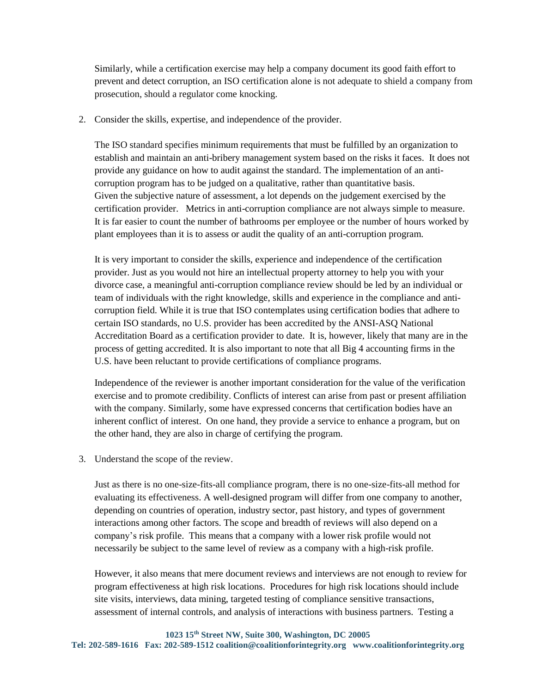Similarly, while a certification exercise may help a company document its good faith effort to prevent and detect corruption, an ISO certification alone is not adequate to shield a company from prosecution, should a regulator come knocking.

2. Consider the skills, expertise, and independence of the provider.

The ISO standard specifies minimum requirements that must be fulfilled by an organization to establish and maintain an anti-bribery management system based on the risks it faces. It does not provide any guidance on how to audit against the standard. The implementation of an anticorruption program has to be judged on a qualitative, rather than quantitative basis. Given the subjective nature of assessment, a lot depends on the judgement exercised by the certification provider. Metrics in anti-corruption compliance are not always simple to measure. It is far easier to count the number of bathrooms per employee or the number of hours worked by plant employees than it is to assess or audit the quality of an anti-corruption program.

It is very important to consider the skills, experience and independence of the certification provider. Just as you would not hire an intellectual property attorney to help you with your divorce case, a meaningful anti-corruption compliance review should be led by an individual or team of individuals with the right knowledge, skills and experience in the compliance and anticorruption field. While it is true that ISO contemplates using certification bodies that adhere to certain ISO standards, no U.S. provider has been accredited by the ANSI-ASQ National Accreditation Board as a certification provider to date. It is, however, likely that many are in the process of getting accredited. It is also important to note that all Big 4 accounting firms in the U.S. have been reluctant to provide certifications of compliance programs.

Independence of the reviewer is another important consideration for the value of the verification exercise and to promote credibility. Conflicts of interest can arise from past or present affiliation with the company. Similarly, some have expressed concerns that certification bodies have an inherent conflict of interest. On one hand, they provide a service to enhance a program, but on the other hand, they are also in charge of certifying the program.

3. Understand the scope of the review.

Just as there is no one-size-fits-all compliance program, there is no one-size-fits-all method for evaluating its effectiveness. A well-designed program will differ from one company to another, depending on countries of operation, industry sector, past history, and types of government interactions among other factors. The scope and breadth of reviews will also depend on a company's risk profile. This means that a company with a lower risk profile would not necessarily be subject to the same level of review as a company with a high-risk profile.

However, it also means that mere document reviews and interviews are not enough to review for program effectiveness at high risk locations. Procedures for high risk locations should include site visits, interviews, data mining, targeted testing of compliance sensitive transactions, assessment of internal controls, and analysis of interactions with business partners. Testing a